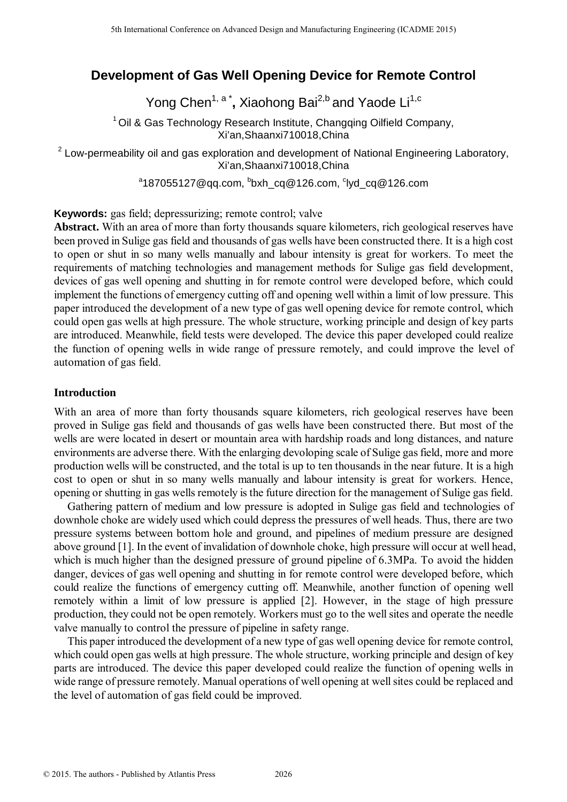# **Development of Gas Well Opening Device for Remote Control**

Yong Chen<sup>1, a\*</sup>, Xiaohong Bai<sup>2,b</sup> and Yaode Li<sup>1,c</sup>

 $1$ Oil & Gas Technology Research Institute, Changqing Oilfield Company, Xi'an,Shaanxi710018,China

 $2$  Low-permeability oil and gas exploration and development of National Engineering Laboratory, Xi'an,Shaanxi710018,China

 $^{\circ}$ 187055127@qq.com,  $^{\circ}$ bxh\_cq@126.com,  $^{\circ}$ lyd\_cq@126.com

### **Keywords:** gas field; depressurizing; remote control; valve

**Abstract.** With an area of more than forty thousands square kilometers, rich geological reserves have been proved in Sulige gas field and thousands of gas wells have been constructed there. It is a high cost to open or shut in so many wells manually and labour intensity is great for workers. To meet the requirements of matching technologies and management methods for Sulige gas field development, devices of gas well opening and shutting in for remote control were developed before, which could implement the functions of emergency cutting off and opening well within a limit of low pressure. This paper introduced the development of a new type of gas well opening device for remote control, which could open gas wells at high pressure. The whole structure, working principle and design of key parts are introduced. Meanwhile, field tests were developed. The device this paper developed could realize the function of opening wells in wide range of pressure remotely, and could improve the level of automation of gas field. <sup>516</sup> learning Conference on Advanced Design and Manufacturing Engineering Conference Conference on Advanced Design and Society and Society and Society and Society and Society and Society and Society and Society and Socie

# **Introduction**

With an area of more than forty thousands square kilometers, rich geological reserves have been proved in Sulige gas field and thousands of gas wells have been constructed there. But most of the wells are were located in desert or mountain area with hardship roads and long distances, and nature environments are adverse there. With the enlarging devoloping scale of Sulige gas field, more and more production wells will be constructed, and the total is up to ten thousands in the near future. It is a high cost to open or shut in so many wells manually and labour intensity is great for workers. Hence, opening or shutting in gas wells remotely is the future direction for the management of Sulige gas field.

Gathering pattern of medium and low pressure is adopted in Sulige gas field and technologies of downhole choke are widely used which could depress the pressures of well heads. Thus, there are two pressure systems between bottom hole and ground, and pipelines of medium pressure are designed above ground [1]. In the event of invalidation of downhole choke, high pressure will occur at well head, which is much higher than the designed pressure of ground pipeline of 6.3MPa. To avoid the hidden danger, devices of gas well opening and shutting in for remote control were developed before, which could realize the functions of emergency cutting off. Meanwhile, another function of opening well remotely within a limit of low pressure is applied [2]. However, in the stage of high pressure production, they could not be open remotely. Workers must go to the wellsites and operate the needle valve manually to control the pressure of pipeline in safety range.

This paper introduced the development of a new type of gas well opening device for remote control, which could open gas wells at high pressure. The whole structure, working principle and design of key parts are introduced. The device this paper developed could realize the function of opening wells in wide range of pressure remotely. Manual operations of well opening at well sites could be replaced and the level of automation of gas field could be improved.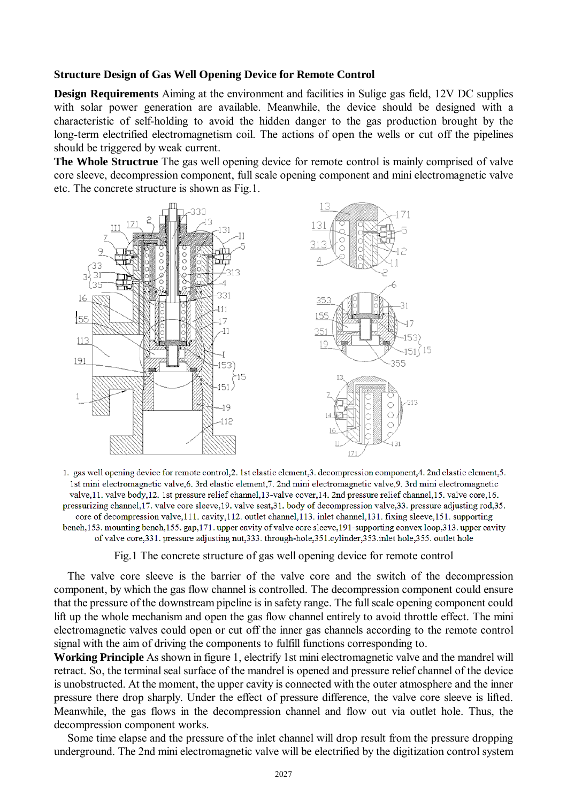#### **Structure Design of Gas Well Opening Device for Remote Control**

**Design Requirements** Aiming at the environment and facilities in Sulige gas field, 12V DC supplies with solar power generation are available. Meanwhile, the device should be designed with a characteristic of self-holding to avoid the hidden danger to the gas production brought by the long-term electrified electromagnetism coil. The actions of open the wells or cut off the pipelines should be triggered by weak current.

**The Whole Structrue** The gas well opening device for remote control is mainly comprised of valve core sleeve, decompression component, full scale opening component and mini electromagnetic valve etc. The concrete structure is shown as Fig.1.



1. gas well opening device for remote control, 2. 1st elastic element, 3. decompression component, 4. 2nd elastic element, 5. 1st mini electromagnetic valve, 6. 3rd elastic element, 7. 2nd mini electromagnetic valve, 9. 3rd mini electromagnetic valve, 11. valve body, 12. 1st pressure relief channel, 13-valve cover, 14. 2nd pressure relief channel, 15. valve core, 16. pressurizing channel, 17. valve core sleeve, 19. valve seat, 31. body of decompression valve, 33. pressure adjusting rod, 35. core of decompression valve, 111. cavity, 112. outlet channel, 113. inlet channel, 131. fixing sleeve, 151. supporting bench, 153, mounting bench, 155, gap, 171, upper cavity of valve core sleeve, 191-supporting convex loop, 313, upper cavity of valve core, 331, pressure adjusting nut, 333, through-hole, 351, cylinder, 353, inlet hole, 355, outlet hole

Fig.1 The concrete structure of gas well opening device for remote control

The valve core sleeve is the barrier of the valve core and the switch of the decompression component, by which the gas flow channel is controlled. The decompression component could ensure that the pressure of the downstream pipeline is in safety range. The full scale opening component could lift up the whole mechanism and open the gas flow channel entirely to avoid throttle effect. The mini electromagnetic valves could open or cut off the inner gas channels according to the remote control signal with the aim of driving the components to fulfill functions corresponding to.

**Working Principle** As shown in figure 1, electrify 1st mini electromagnetic valve and the mandrel will retract. So, the terminal seal surface of the mandrel is opened and pressure relief channel of the device is unobstructed. At the moment, the upper cavity is connected with the outer atmosphere and the inner pressure there drop sharply. Under the effect of pressure difference, the valve core sleeve is lifted. Meanwhile, the gas flows in the decompression channel and flow out via outlet hole. Thus, the decompression component works.

Some time elapse and the pressure of the inlet channel will drop result from the pressure dropping underground. The 2nd mini electromagnetic valve will be electrified by the digitization control system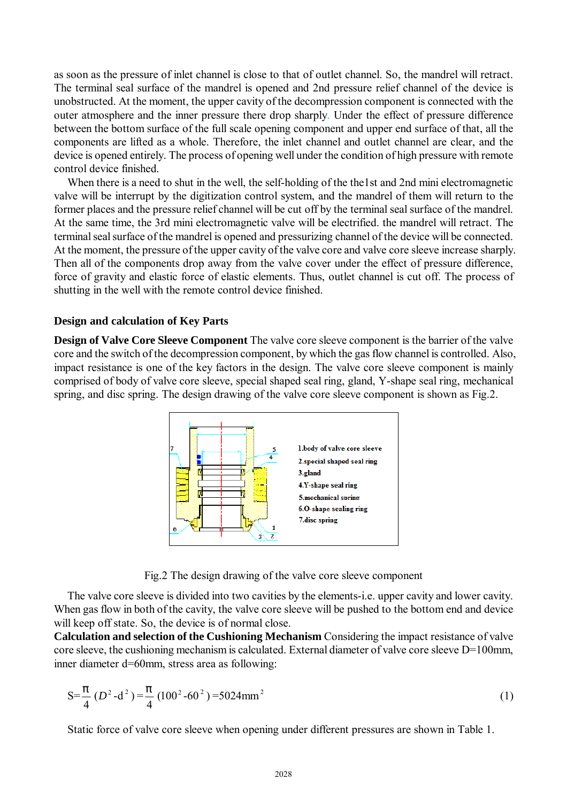as soon as the pressure of inlet channel is close to that of outlet channel. So, the mandrel will retract. The terminal seal surface of the mandrel is opened and 2nd pressure relief channel of the device is unobstructed. At the moment, the upper cavity of the decompression component is connected with the outer atmosphere and the inner pressure there drop sharply. Under the effect of pressure difference between the bottom surface of the full scale opening component and upper end surface of that, all the components are lifted as a whole. Therefore, the inlet channel and outlet channel are clear, and the device is opened entirely. The process of opening well under the condition of high pressure with remote control device finished.

When there is a need to shut in the well, the self-holding of the the1st and 2nd mini electromagnetic valve will be interrupt by the digitization control system, and the mandrel of them will return to the former places and the pressure relief channel will be cut off by the terminal seal surface of the mandrel. At the same time, the 3rd mini electromagnetic valve will be electrified. the mandrel will retract. The terminal seal surface of the mandrel is opened and pressurizing channel of the device will be connected. At the moment, the pressure of the upper cavity of the valve core and valve core sleeve increase sharply. Then all of the components drop away from the valve cover under the effect of pressure difference, force of gravity and elastic force of elastic elements. Thus, outlet channel is cut off. The process of shutting in the well with the remote control device finished.

#### **Design and calculation of Key Parts**

**Design of Valve Core Sleeve Component** The valve core sleeve component is the barrier of the valve core and the switch of the decompression component, by which the gas flow channel is controlled. Also, impact resistance is one of the key factors in the design. The valve core sleeve component is mainly comprised of body of valve core sleeve, special shaped seal ring, gland, Y-shape seal ring, mechanical spring, and disc spring. The design drawing of the valve core sleeve component is shown as Fig.2.



Fig.2 The design drawing of the valve core sleeve component

The valve core sleeve is divided into two cavities by the elements-i.e. upper cavity and lower cavity. When gas flow in both of the cavity, the valve core sleeve will be pushed to the bottom end and device will keep off state. So, the device is of normal close.

**Calculation and selection of the Cushioning Mechanism** Considering the impact resistance of valve core sleeve, the cushioning mechanism is calculated. External diameter of valve core sleeve D=100mm, inner diameter d=60mm, stress area as following:

$$
S = \frac{p}{4} (D^2 - d^2) = \frac{p}{4} (100^2 - 60^2) = 5024 \text{mm}^2
$$
 (1)

Static force of valve core sleeve when opening under different pressures are shown in Table 1.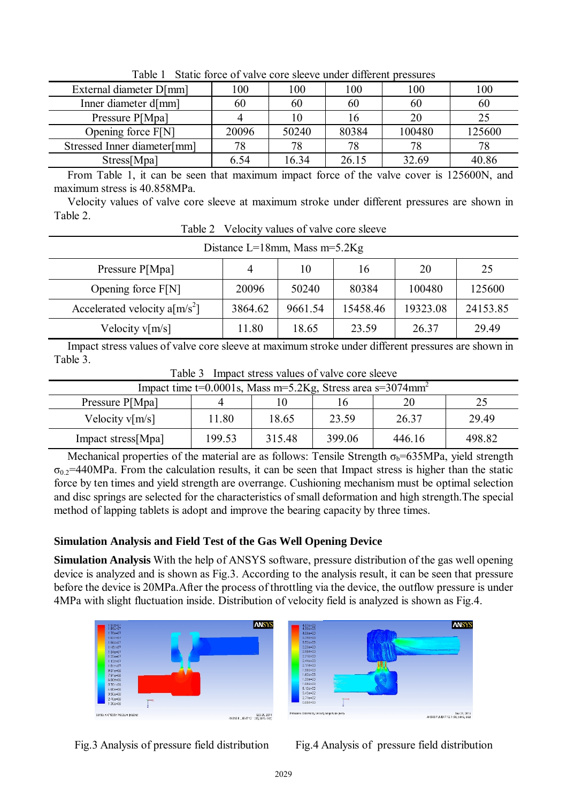| ruviv r<br>Diatre force of valve core sleeve ander allierent pressares |       |       |       |        |        |  |  |
|------------------------------------------------------------------------|-------|-------|-------|--------|--------|--|--|
| External diameter D[mm]                                                | 100   | 100   | 100   | 100    | 100    |  |  |
| Inner diameter d[mm]                                                   | 60    | 60    | 60    | 60     | 60     |  |  |
| Pressure P[Mpa]                                                        |       |       |       | 20     |        |  |  |
| Opening force $F[N]$                                                   | 20096 | 50240 | 80384 | 100480 | 125600 |  |  |
| Stressed Inner diameter[mm]                                            | 78    | 78    | 78    | 78     | 78     |  |  |
| Stress[Mpa]                                                            | 6.54  | 16.34 | 26.15 | 32.69  | 40.86  |  |  |

Table 1 Static force of valve core sleeve under different pressures

From Table 1, it can be seen that maximum impact force of the valve cover is 125600N, and maximum stress is 40.858MPa.

Velocity values of valve core sleeve at maximum stroke under different pressures are shown in Table 2.

Table 2 Velocity values of valve core sleeve Distance  $I=19$ mm, Mass m=5.2 $V_{\alpha}$ 

| DISTANCE $L=10$ IIIIII, MASS III $-5.2$ Ng |         |         |          |          |          |  |  |  |  |
|--------------------------------------------|---------|---------|----------|----------|----------|--|--|--|--|
| Pressure P[Mpa]                            | 4       | 10      | 16       | 20       | 25       |  |  |  |  |
| Opening force $F[N]$                       | 20096   | 50240   | 80384    | 100480   | 125600   |  |  |  |  |
| Accelerated velocity a $[m/s^2]$           | 3864.62 | 9661.54 | 15458.46 | 19323.08 | 24153.85 |  |  |  |  |
| Velocity $v[m/s]$                          | 11.80   | 18.65   | 23.59    | 26.37    | 29.49    |  |  |  |  |

Impact stress values of valve core sleeve at maximum stroke under different pressures are shown in Table 3.

| $1 \, \text{at} \, \text{at} \, \text{at} \, \text{at}$<br>THIDACI BITCBS VAIDES OF VAIVE COTE SICEVE |        |        |        |        |        |  |  |
|-------------------------------------------------------------------------------------------------------|--------|--------|--------|--------|--------|--|--|
| Impact time $t=0.0001$ s, Mass m=5.2Kg, Stress area s=3074mm <sup>2</sup>                             |        |        |        |        |        |  |  |
| Pressure P[Mpa]                                                                                       |        |        |        |        |        |  |  |
| Velocity $v[m/s]$                                                                                     | 11.80  | 18.65  | 23.59  | 26.37  | 29.49  |  |  |
| Impact stress[Mpa]                                                                                    | 199.53 | 315.48 | 399.06 | 446.16 | 498.82 |  |  |

Table 3 Impact stress values of valve core sleeve

Mechanical properties of the material are as follows: Tensile Strength  $\sigma_b$ =635MPa, yield strength  $\sigma_{0.2}$ =440MPa. From the calculation results, it can be seen that Impact stress is higher than the static force by ten times and yield strength are overrange. Cushioning mechanism must be optimal selection and disc springs are selected for the characteristics of small deformation and high strength.The special method of lapping tablets is adopt and improve the bearing capacity by three times.

# **Simulation Analysis and Field Test of the Gas Well Opening Device**

**Simulation Analysis** With the help of ANSYS software, pressure distribution of the gas well opening device is analyzed and is shown as Fig.3. According to the analysis result, it can be seen that pressure before the device is 20MPa.After the process of throttling via the device, the outflow pressure is under 4MPa with slight fluctuation inside. Distribution of velocity field is analyzed is shown as Fig.4.



Fig.3 Analysis of pressure field distribution Fig.4 Analysis of pressure field distribution